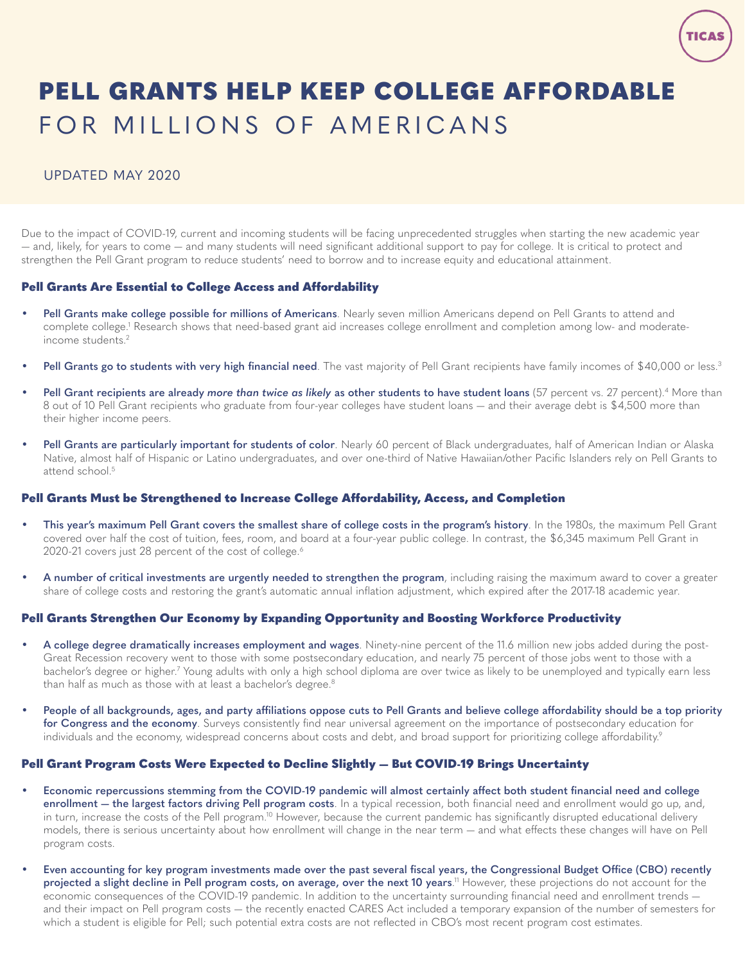# <span id="page-0-0"></span>PELL GRANTS HELP KEEP COLLEGE AFFORDABLE FOR MILLIONS OF AMERICANS

# UPDATED MAY 2020

Due to the impact of COVID-19, current and incoming students will be facing unprecedented struggles when starting the new academic year — and, likely, for years to come — and many students will need significant additional support to pay for college. It is critical to protect and strengthen the Pell Grant program to reduce students' need to borrow and to increase equity and educational attainment.

## Pell Grants Are Essential to College Access and Affordability

- **• Pell Grants make college possible for millions of Americans**. Nearly seven million Americans depend on Pell Grants to attend and complete college.[1](#page-1-0) Research shows that need-based grant aid increases college enrollment and completion among low- and moderateincome students.[2](#page-1-0)
- **• Pell Grants go to students with very high financial need**. The vast majority of Pell Grant recipients have family incomes of \$40,000 or less.[3](#page-1-0)
- **• Pell Grant recipients are already** *more than twice as likely* **as other students to have student loans** (57 percent vs. 27 percent).[4](#page-1-0) More than 8 out of 10 Pell Grant recipients who graduate from four-year colleges have student loans — and their average debt is \$4,500 more than their higher income peers.
- **• Pell Grants are particularly important for students of color**. Nearly 60 percent of Black undergraduates, half of American Indian or Alaska Native, almost half of Hispanic or Latino undergraduates, and over one-third of Native Hawaiian/other Pacific Islanders rely on Pell Grants to attend school.<sup>[5](#page-1-0)</sup>

#### Pell Grants Must be Strengthened to Increase College Affordability, Access, and Completion

- **• This year's maximum Pell Grant covers the smallest share of college costs in the program's history**. In the 1980s, the maximum Pell Grant covered over half the cost of tuition, fees, room, and board at a four-year public college. In contrast, the \$6,345 maximum Pell Grant in 2020-21 covers just 28 percent of the cost of college.<sup>6</sup>
- **• A number of critical investments are urgently needed to strengthen the program**, including raising the maximum award to cover a greater share of college costs and restoring the grant's automatic annual inflation adjustment, which expired after the 2017-18 academic year.

#### Pell Grants Strengthen Our Economy by Expanding Opportunity and Boosting Workforce Productivity

- **• A college degree dramatically increases employment and wages**. Ninety-nine percent of the 11.6 million new jobs added during the post-Great Recession recovery went to those with some postsecondary education, and nearly 75 percent of those jobs went to those with a bachelor's degree or higher.<sup>[7](#page-1-0)</sup> Young adults with only a high school diploma are over twice as likely to be unemployed and typically earn less than half as much as those with at least a bachelor's degree.<sup>[8](#page-1-0)</sup>
- **• People of all backgrounds, ages, and party affiliations oppose cuts to Pell Grants and believe college affordability should be a top priority for Congress and the economy**. Surveys consistently find near universal agreement on the importance of postsecondary education for individuals and the economy, widespread concerns about costs and debt, and broad support for prioritizing college affordability.<sup>[9](#page-1-0)</sup>

## Pell Grant Program Costs Were Expected to Decline Slightly — But COVID-19 Brings Uncertainty

- **• Economic repercussions stemming from the COVID-19 pandemic will almost certainly affect both student financial need and college enrollment — the largest factors driving Pell program costs**. In a typical recession, both financial need and enrollment would go up, and, in turn, increase the costs of the Pell program.<sup>10</sup> However, because the current pandemic has significantly disrupted educational delivery models, there is serious uncertainty about how enrollment will change in the near term — and what effects these changes will have on Pell program costs.
- **• Even accounting for key program investments made over the past several fiscal years, the Congressional Budget Office (CBO) recently projected a slight decline in Pell program costs, on average, over the next 10 years**. [11](#page-1-0) However, these projections do not account for the economic consequences of the COVID-19 pandemic. In addition to the uncertainty surrounding financial need and enrollment trends and their impact on Pell program costs — the recently enacted CARES Act included a temporary expansion of the number of semesters for which a student is eligible for Pell; such potential extra costs are not reflected in CBO's most recent program cost estimates.